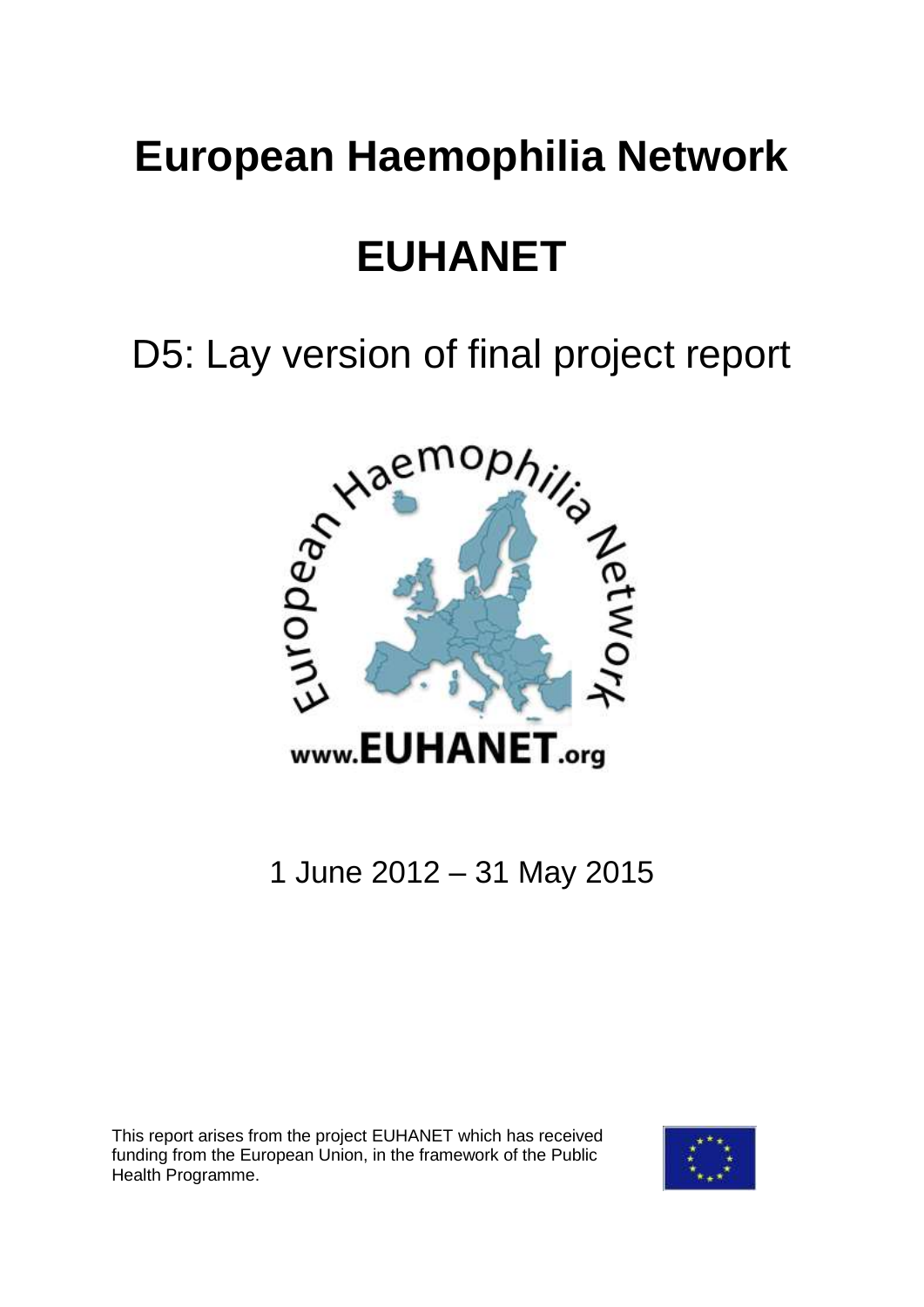## **European Haemophilia Network**

# **EUHANET**

D5: Lay version of final project report



### 1 June 2012 – 31 May 2015

This report arises from the project EUHANET which has received funding from the European Union, in the framework of the Public Health Programme.

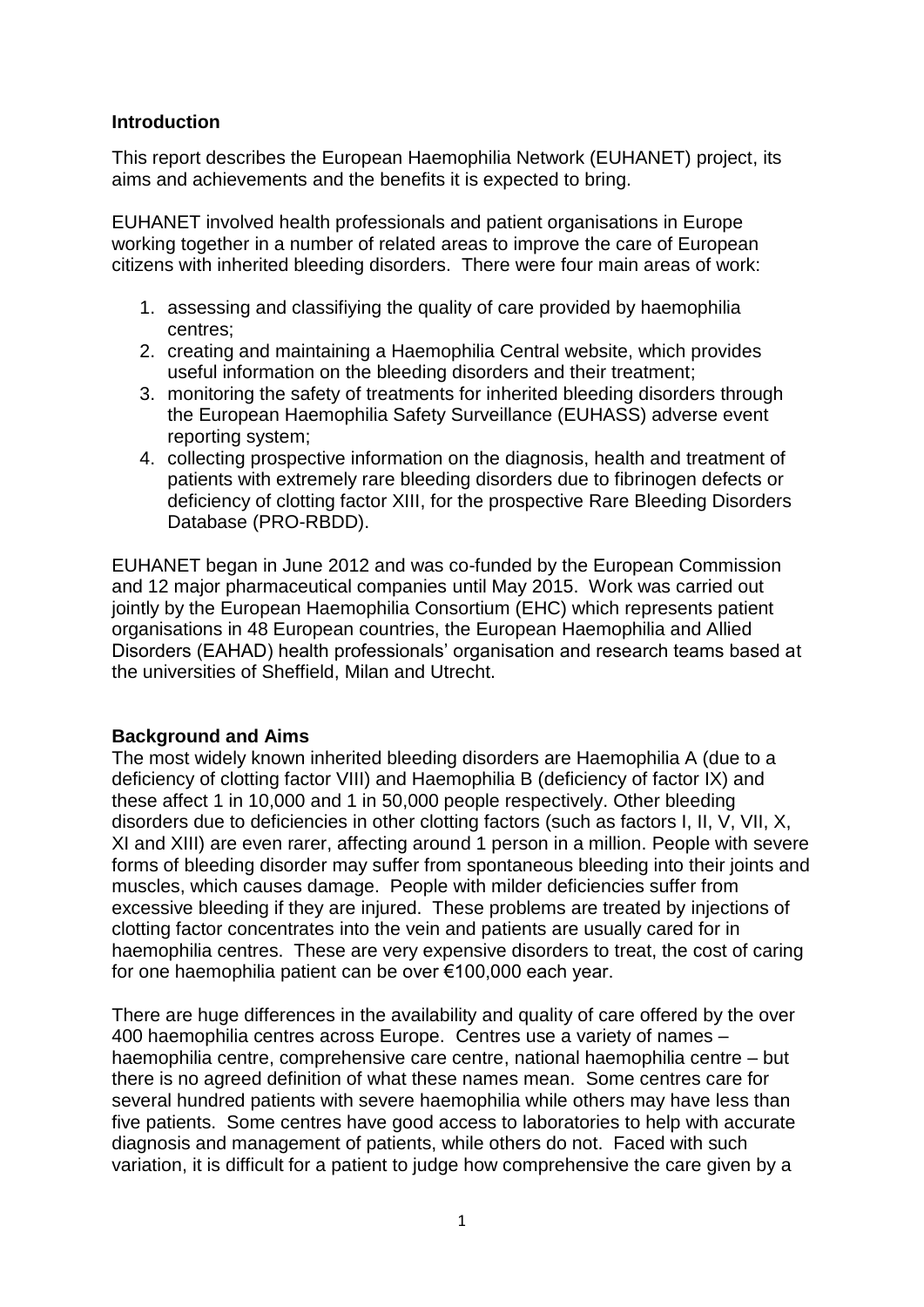#### **Introduction**

This report describes the European Haemophilia Network (EUHANET) project, its aims and achievements and the benefits it is expected to bring.

EUHANET involved health professionals and patient organisations in Europe working together in a number of related areas to improve the care of European citizens with inherited bleeding disorders. There were four main areas of work:

- 1. assessing and classifiying the quality of care provided by haemophilia centres;
- 2. creating and maintaining a Haemophilia Central website, which provides useful information on the bleeding disorders and their treatment;
- 3. monitoring the safety of treatments for inherited bleeding disorders through the European Haemophilia Safety Surveillance (EUHASS) adverse event reporting system;
- 4. collecting prospective information on the diagnosis, health and treatment of patients with extremely rare bleeding disorders due to fibrinogen defects or deficiency of clotting factor XIII, for the prospective Rare Bleeding Disorders Database (PRO-RBDD).

EUHANET began in June 2012 and was co-funded by the European Commission and 12 major pharmaceutical companies until May 2015. Work was carried out jointly by the European Haemophilia Consortium (EHC) which represents patient organisations in 48 European countries, the European Haemophilia and Allied Disorders (EAHAD) health professionals' organisation and research teams based at the universities of Sheffield, Milan and Utrecht.

#### **Background and Aims**

The most widely known inherited bleeding disorders are Haemophilia A (due to a deficiency of clotting factor VIII) and Haemophilia B (deficiency of factor IX) and these affect 1 in 10,000 and 1 in 50,000 people respectively. Other bleeding disorders due to deficiencies in other clotting factors (such as factors I, II, V, VII, X, XI and XIII) are even rarer, affecting around 1 person in a million. People with severe forms of bleeding disorder may suffer from spontaneous bleeding into their joints and muscles, which causes damage. People with milder deficiencies suffer from excessive bleeding if they are injured. These problems are treated by injections of clotting factor concentrates into the vein and patients are usually cared for in haemophilia centres. These are very expensive disorders to treat, the cost of caring for one haemophilia patient can be over €100,000 each year.

There are huge differences in the availability and quality of care offered by the over 400 haemophilia centres across Europe. Centres use a variety of names – haemophilia centre, comprehensive care centre, national haemophilia centre – but there is no agreed definition of what these names mean. Some centres care for several hundred patients with severe haemophilia while others may have less than five patients. Some centres have good access to laboratories to help with accurate diagnosis and management of patients, while others do not. Faced with such variation, it is difficult for a patient to judge how comprehensive the care given by a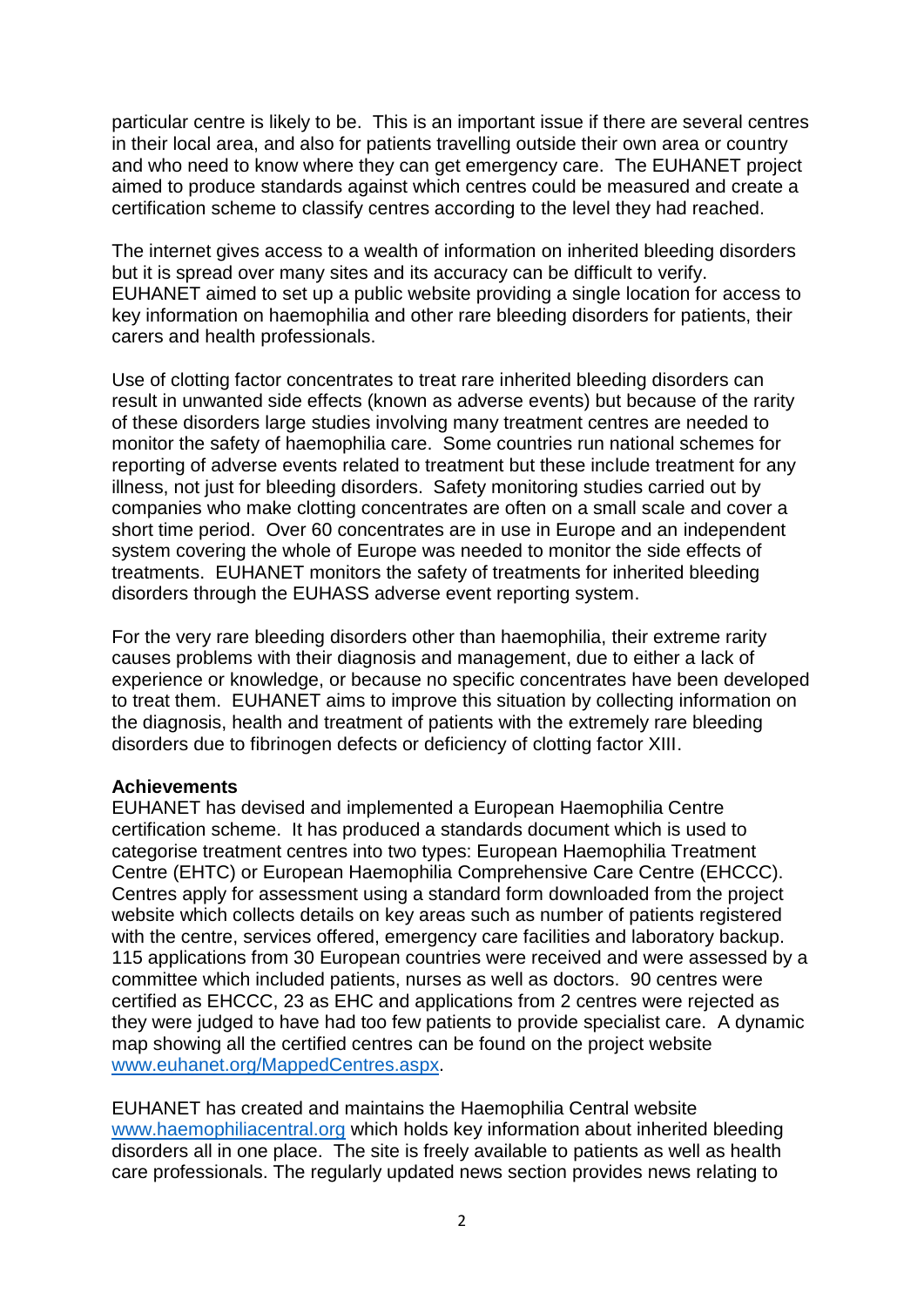particular centre is likely to be. This is an important issue if there are several centres in their local area, and also for patients travelling outside their own area or country and who need to know where they can get emergency care. The EUHANET project aimed to produce standards against which centres could be measured and create a certification scheme to classify centres according to the level they had reached.

The internet gives access to a wealth of information on inherited bleeding disorders but it is spread over many sites and its accuracy can be difficult to verify. EUHANET aimed to set up a public website providing a single location for access to key information on haemophilia and other rare bleeding disorders for patients, their carers and health professionals.

Use of clotting factor concentrates to treat rare inherited bleeding disorders can result in unwanted side effects (known as adverse events) but because of the rarity of these disorders large studies involving many treatment centres are needed to monitor the safety of haemophilia care. Some countries run national schemes for reporting of adverse events related to treatment but these include treatment for any illness, not just for bleeding disorders. Safety monitoring studies carried out by companies who make clotting concentrates are often on a small scale and cover a short time period. Over 60 concentrates are in use in Europe and an independent system covering the whole of Europe was needed to monitor the side effects of treatments. EUHANET monitors the safety of treatments for inherited bleeding disorders through the EUHASS adverse event reporting system.

For the very rare bleeding disorders other than haemophilia, their extreme rarity causes problems with their diagnosis and management, due to either a lack of experience or knowledge, or because no specific concentrates have been developed to treat them. EUHANET aims to improve this situation by collecting information on the diagnosis, health and treatment of patients with the extremely rare bleeding disorders due to fibrinogen defects or deficiency of clotting factor XIII.

#### **Achievements**

EUHANET has devised and implemented a European Haemophilia Centre certification scheme. It has produced a standards document which is used to categorise treatment centres into two types: European Haemophilia Treatment Centre (EHTC) or European Haemophilia Comprehensive Care Centre (EHCCC). Centres apply for assessment using a standard form downloaded from the project website which collects details on key areas such as number of patients registered with the centre, services offered, emergency care facilities and laboratory backup. 115 applications from 30 European countries were received and were assessed by a committee which included patients, nurses as well as doctors. 90 centres were certified as EHCCC, 23 as EHC and applications from 2 centres were rejected as they were judged to have had too few patients to provide specialist care. A dynamic map showing all the certified centres can be found on the project website [www.euhanet.org/MappedCentres.aspx.](http://www.euhanet.org/MappedCentres.aspx)

EUHANET has created and maintains the Haemophilia Central website [www.haemophiliacentral.org](http://www.haemophiliacentral.org/) which holds key information about inherited bleeding disorders all in one place. The site is freely available to patients as well as health care professionals. The regularly updated news section provides news relating to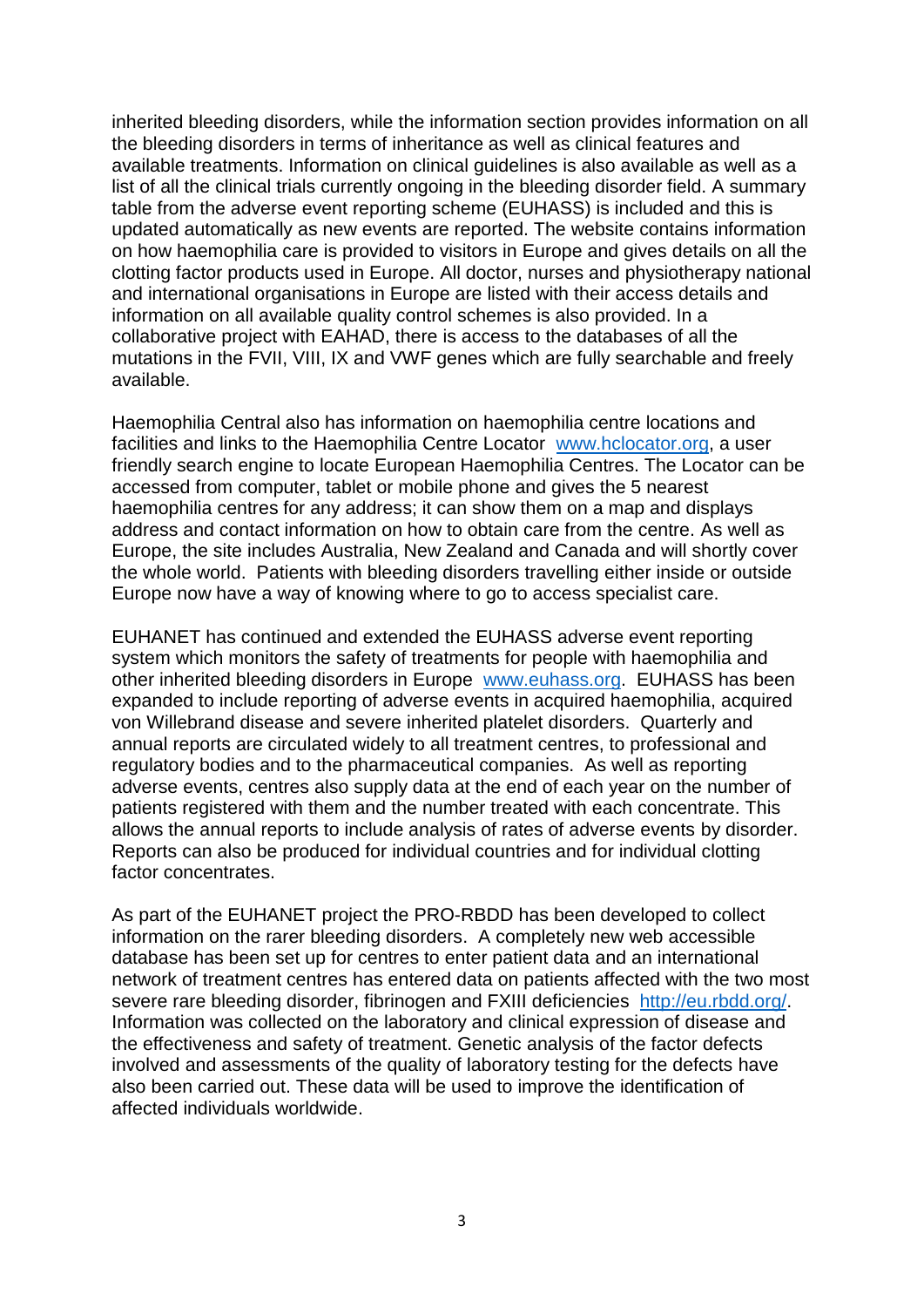inherited bleeding disorders, while the information section provides information on all the bleeding disorders in terms of inheritance as well as clinical features and available treatments. Information on clinical guidelines is also available as well as a list of all the clinical trials currently ongoing in the bleeding disorder field. A summary table from the adverse event reporting scheme (EUHASS) is included and this is updated automatically as new events are reported. The website contains information on how haemophilia care is provided to visitors in Europe and gives details on all the clotting factor products used in Europe. All doctor, nurses and physiotherapy national and international organisations in Europe are listed with their access details and information on all available quality control schemes is also provided. In a collaborative project with EAHAD, there is access to the databases of all the mutations in the FVII, VIII, IX and VWF genes which are fully searchable and freely available.

Haemophilia Central also has information on haemophilia centre locations and facilities and links to the Haemophilia Centre Locator [www.hclocator.org,](http://www.hclocator.org/) a user friendly search engine to locate European Haemophilia Centres. The Locator can be accessed from computer, tablet or mobile phone and gives the 5 nearest haemophilia centres for any address; it can show them on a map and displays address and contact information on how to obtain care from the centre. As well as Europe, the site includes Australia, New Zealand and Canada and will shortly cover the whole world. Patients with bleeding disorders travelling either inside or outside Europe now have a way of knowing where to go to access specialist care.

EUHANET has continued and extended the EUHASS adverse event reporting system which monitors the safety of treatments for people with haemophilia and other inherited bleeding disorders in Europe [www.euhass.org.](http://www.euhass.org/) EUHASS has been expanded to include reporting of adverse events in acquired haemophilia, acquired von Willebrand disease and severe inherited platelet disorders. Quarterly and annual reports are circulated widely to all treatment centres, to professional and regulatory bodies and to the pharmaceutical companies. As well as reporting adverse events, centres also supply data at the end of each year on the number of patients registered with them and the number treated with each concentrate. This allows the annual reports to include analysis of rates of adverse events by disorder. Reports can also be produced for individual countries and for individual clotting factor concentrates.

As part of the EUHANET project the PRO-RBDD has been developed to collect information on the rarer bleeding disorders. A completely new web accessible database has been set up for centres to enter patient data and an international network of treatment centres has entered data on patients affected with the two most severe rare bleeding disorder, fibrinogen and FXIII deficiencies [http://eu.rbdd.org/.](http://eu.rbdd.org/) Information was collected on the laboratory and clinical expression of disease and the effectiveness and safety of treatment. Genetic analysis of the factor defects involved and assessments of the quality of laboratory testing for the defects have also been carried out. These data will be used to improve the identification of affected individuals worldwide.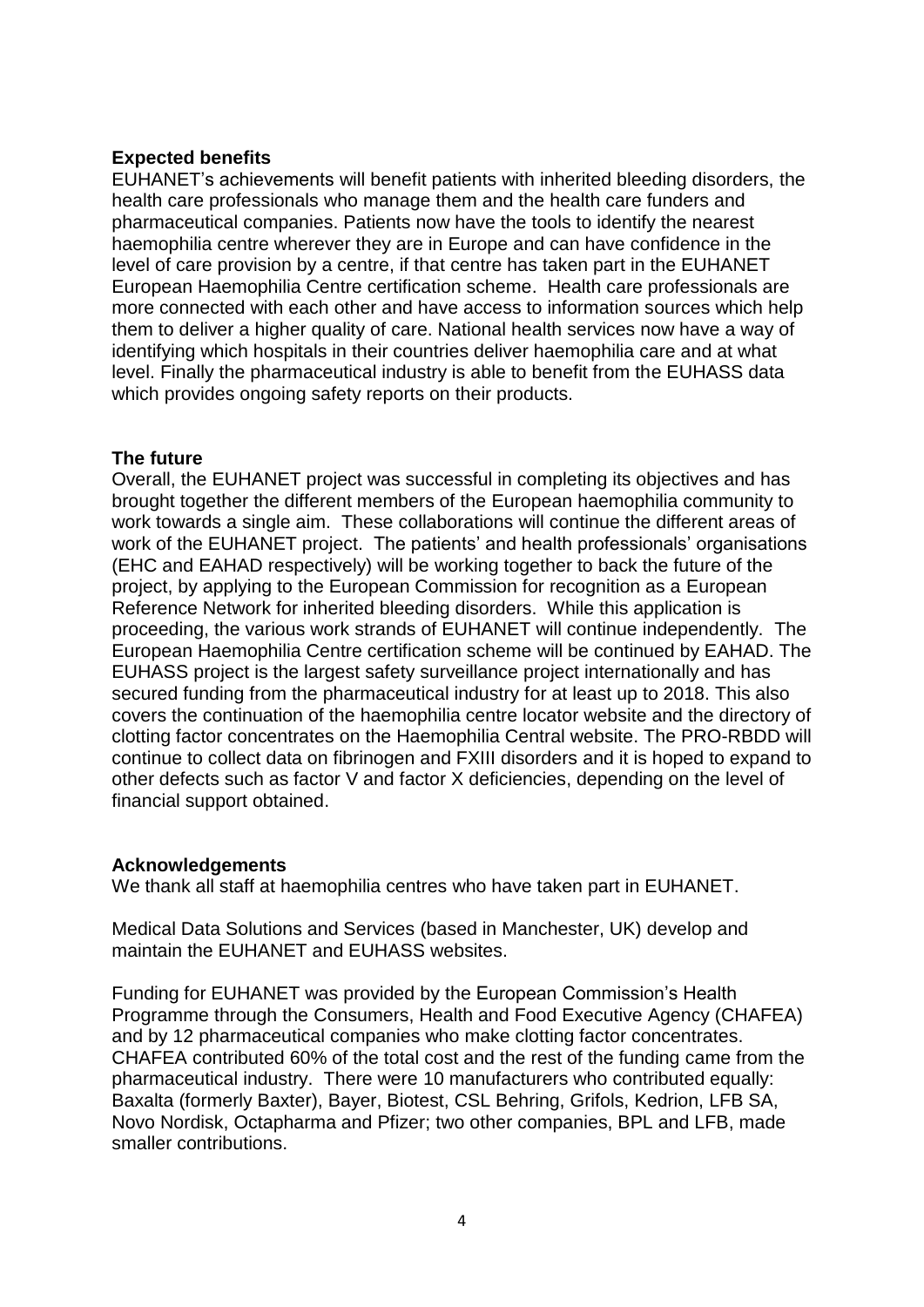#### **Expected benefits**

EUHANET's achievements will benefit patients with inherited bleeding disorders, the health care professionals who manage them and the health care funders and pharmaceutical companies. Patients now have the tools to identify the nearest haemophilia centre wherever they are in Europe and can have confidence in the level of care provision by a centre, if that centre has taken part in the EUHANET European Haemophilia Centre certification scheme. Health care professionals are more connected with each other and have access to information sources which help them to deliver a higher quality of care. National health services now have a way of identifying which hospitals in their countries deliver haemophilia care and at what level. Finally the pharmaceutical industry is able to benefit from the EUHASS data which provides ongoing safety reports on their products.

#### **The future**

Overall, the EUHANET project was successful in completing its objectives and has brought together the different members of the European haemophilia community to work towards a single aim. These collaborations will continue the different areas of work of the EUHANET project. The patients' and health professionals' organisations (EHC and EAHAD respectively) will be working together to back the future of the project, by applying to the European Commission for recognition as a European Reference Network for inherited bleeding disorders. While this application is proceeding, the various work strands of EUHANET will continue independently. The European Haemophilia Centre certification scheme will be continued by EAHAD. The EUHASS project is the largest safety surveillance project internationally and has secured funding from the pharmaceutical industry for at least up to 2018. This also covers the continuation of the haemophilia centre locator website and the directory of clotting factor concentrates on the Haemophilia Central website. The PRO-RBDD will continue to collect data on fibrinogen and FXIII disorders and it is hoped to expand to other defects such as factor V and factor X deficiencies, depending on the level of financial support obtained.

#### **Acknowledgements**

We thank all staff at haemophilia centres who have taken part in EUHANET.

Medical Data Solutions and Services (based in Manchester, UK) develop and maintain the EUHANET and EUHASS websites.

Funding for EUHANET was provided by the European Commission's Health Programme through the Consumers, Health and Food Executive Agency (CHAFEA) and by 12 pharmaceutical companies who make clotting factor concentrates. CHAFEA contributed 60% of the total cost and the rest of the funding came from the pharmaceutical industry. There were 10 manufacturers who contributed equally: Baxalta (formerly Baxter), Bayer, Biotest, CSL Behring, Grifols, Kedrion, LFB SA, Novo Nordisk, Octapharma and Pfizer; two other companies, BPL and LFB, made smaller contributions.